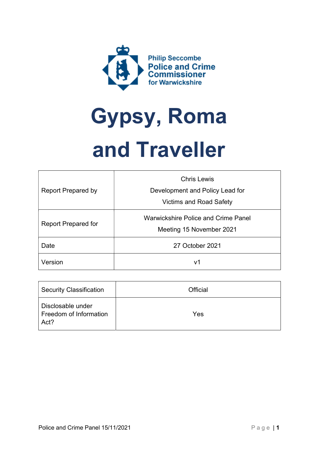

# Gypsy, Roma and Traveller

| <b>Report Prepared by</b>  | <b>Chris Lewis</b>                                                     |
|----------------------------|------------------------------------------------------------------------|
|                            | Development and Policy Lead for                                        |
|                            | <b>Victims and Road Safety</b>                                         |
| <b>Report Prepared for</b> | <b>Warwickshire Police and Crime Panel</b><br>Meeting 15 November 2021 |
| Date                       | 27 October 2021                                                        |
| Version                    | v1                                                                     |

| <b>Security Classification</b>                      | Official |
|-----------------------------------------------------|----------|
| Disclosable under<br>Freedom of Information<br>Act? | Yes      |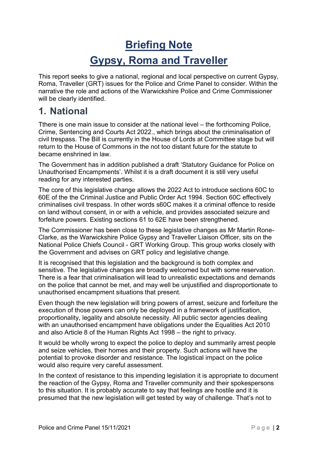# Briefing Note Gypsy, Roma and Traveller

This report seeks to give a national, regional and local perspective on current Gypsy, Roma, Traveller (GRT) issues for the Police and Crime Panel to consider. Within the narrative the role and actions of the Warwickshire Police and Crime Commissioner will be clearly identified.

## 1. National

Tthere is one main issue to consider at the national level – the forthcoming Police, Crime, Sentencing and Courts Act 2022., which brings about the criminalisation of civil trespass. The Bill is currently in the House of Lords at Committee stage but will return to the House of Commons in the not too distant future for the statute to became enshrined in law.

The Government has in addition published a draft 'Statutory Guidance for Police on Unauthorised Encampments'. Whilst it is a draft document it is still very useful reading for any interested parties.

The core of this legislative change allows the 2022 Act to introduce sections 60C to 60E of the the Criminal Justice and Public Order Act 1994. Section 60C effectively criminalises civil trespass. In other words s60C makes it a criminal offence to reside on land without consent, in or with a vehicle, and provides associated seizure and forfeiture powers. Existing sections 61 to 62E have been strengthened.

The Commissioner has been close to these legislative changes as Mr Martin Rone-Clarke, as the Warwickshire Police Gypsy and Traveller Liaison Officer, sits on the National Police Chiefs Council - GRT Working Group. This group works closely with the Government and advises on GRT policy and legislative change.

It is recognised that this legislation and the background is both complex and sensitive. The legislative changes are broadly welcomed but with some reservation. There is a fear that criminalisation will lead to unrealistic expectations and demands on the police that cannot be met, and may well be unjustified and disproportionate to unauthorised encampment situations that present.

Even though the new legislation will bring powers of arrest, seizure and forfeiture the execution of those powers can only be deployed in a framework of justification, proportionality, legality and absolute necessity. All public sector agencies dealing with an unauthorised encampment have obligations under the Equalities Act 2010 and also Article 8 of the Human Rights Act 1998 – the right to privacy.

It would be wholly wrong to expect the police to deploy and summarily arrest people and seize vehicles, their homes and their property. Such actions will have the potential to provoke disorder and resistance. The logistical impact on the police would also require very careful assessment.

In the context of resistance to this impending legislation it is appropriate to document the reaction of the Gypsy, Roma and Traveller community and their spokespersons to this situation. It is probably accurate to say that feelings are hostile and it is presumed that the new legislation will get tested by way of challenge. That's not to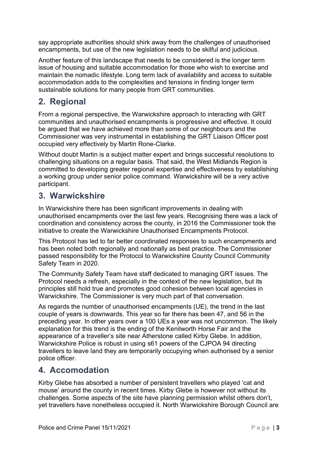say appropriate authorities should shirk away from the challenges of unauthorised encampments, but use of the new legislation needs to be skilful and judicious.

Another feature of this landscape that needs to be considered is the longer term issue of housing and suitable accommodation for those who wish to exercise and maintain the nomadic lifestyle. Long term lack of availability and access to suitable accommodation adds to the complexities and tensions in finding longer term sustainable solutions for many people from GRT communities.

### 2. Regional

From a regional perspective, the Warwickshire approach to interacting with GRT communities and unauthorised encampments is progressive and effective. It could be argued that we have achieved more than some of our neighbours and the Commissioner was very instrumental in establishing the GRT Liaison Officer post occupied very effectively by Martin Rone-Clarke.

Without doubt Martin is a subject matter expert and brings successful resolutions to challenging situations on a regular basis. That said, the West Midlands Region is committed to developing greater regional expertise and effectiveness by establishing a working group under senior police command. Warwickshire will be a very active participant.

#### 3. Warwickshire

In Warwickshire there has been significant improvements in dealing with unauthorised encampments over the last few years. Recognising there was a lack of coordination and consistency across the county, in 2016 the Commissioner took the initiative to create the Warwickshire Unauthorised Encampments Protocol.

This Protocol has led to far better coordinated responses to such encampments and has been noted both regionally and nationally as best practice. The Commissioner passed responsibility for the Protocol to Warwickshire County Council Community Safety Team in 2020.

The Community Safety Team have staff dedicated to managing GRT issues. The Protocol needs a refresh, especially in the context of the new legislation, but its principles still hold true and promotes good cohesion between local agencies in Warwickshire. The Commissioner is very much part of that conversation.

As regards the number of unauthorised encampments (UE), the trend in the last couple of years is downwards. This year so far there has been 47, and 56 in the preceding year. In other years over a 100 UEs a year was not uncommon. The likely explanation for this trend is the ending of the Kenilworth Horse Fair and the appearance of a traveller's site near Atherstone called Kirby Glebe. In addition, Warwickshire Police is robust in using s61 powers of the CJPOA 94 directing travellers to leave land they are temporarily occupying when authorised by a senior police officer.

#### 4. Accomodation

Kirby Glebe has absorbed a number of persistent travellers who played 'cat and mouse' around the county in recent times. Kirby Glebe is however not without its challenges. Some aspects of the site have planning permission whilst others don't, yet travellers have nonetheless occupied it. North Warwickshire Borough Council are